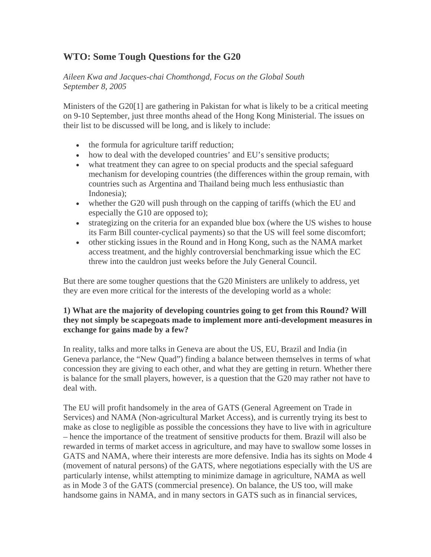# **WTO: Some Tough Questions for the G20**

*Aileen Kwa and Jacques-chai Chomthongd, Focus on the Global South September 8, 2005* 

Ministers of the G20[1] are gathering in Pakistan for what is likely to be a critical meeting on 9-10 September, just three months ahead of the Hong Kong Ministerial. The issues on their list to be discussed will be long, and is likely to include:

- the formula for agriculture tariff reduction;
- how to deal with the developed countries' and EU's sensitive products;
- what treatment they can agree to on special products and the special safeguard mechanism for developing countries (the differences within the group remain, with countries such as Argentina and Thailand being much less enthusiastic than Indonesia);
- whether the G20 will push through on the capping of tariffs (which the EU and especially the G10 are opposed to);
- strategizing on the criteria for an expanded blue box (where the US wishes to house its Farm Bill counter-cyclical payments) so that the US will feel some discomfort;
- other sticking issues in the Round and in Hong Kong, such as the NAMA market access treatment, and the highly controversial benchmarking issue which the EC threw into the cauldron just weeks before the July General Council.

But there are some tougher questions that the G20 Ministers are unlikely to address, yet they are even more critical for the interests of the developing world as a whole:

### **1) What are the majority of developing countries going to get from this Round? Will they not simply be scapegoats made to implement more anti-development measures in exchange for gains made by a few?**

In reality, talks and more talks in Geneva are about the US, EU, Brazil and India (in Geneva parlance, the "New Quad") finding a balance between themselves in terms of what concession they are giving to each other, and what they are getting in return. Whether there is balance for the small players, however, is a question that the G20 may rather not have to deal with.

The EU will profit handsomely in the area of GATS (General Agreement on Trade in Services) and NAMA (Non-agricultural Market Access), and is currently trying its best to make as close to negligible as possible the concessions they have to live with in agriculture – hence the importance of the treatment of sensitive products for them. Brazil will also be rewarded in terms of market access in agriculture, and may have to swallow some losses in GATS and NAMA, where their interests are more defensive. India has its sights on Mode 4 (movement of natural persons) of the GATS, where negotiations especially with the US are particularly intense, whilst attempting to minimize damage in agriculture, NAMA as well as in Mode 3 of the GATS (commercial presence). On balance, the US too, will make handsome gains in NAMA, and in many sectors in GATS such as in financial services,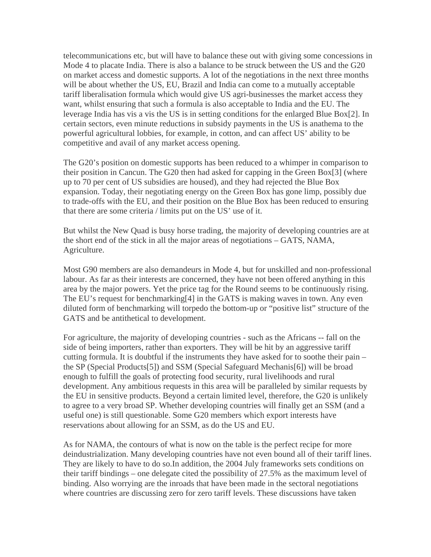telecommunications etc, but will have to balance these out with giving some concessions in Mode 4 to placate India. There is also a balance to be struck between the US and the G20 on market access and domestic supports. A lot of the negotiations in the next three months will be about whether the US, EU, Brazil and India can come to a mutually acceptable tariff liberalisation formula which would give US agri-businesses the market access they want, whilst ensuring that such a formula is also acceptable to India and the EU. The leverage India has vis a vis the US is in setting conditions for the enlarged Blue Box[2]. In certain sectors, even minute reductions in subsidy payments in the US is anathema to the powerful agricultural lobbies, for example, in cotton, and can affect US' ability to be competitive and avail of any market access opening.

The G20's position on domestic supports has been reduced to a whimper in comparison to their position in Cancun. The G20 then had asked for capping in the Green Box[3] (where up to 70 per cent of US subsidies are housed), and they had rejected the Blue Box expansion. Today, their negotiating energy on the Green Box has gone limp, possibly due to trade-offs with the EU, and their position on the Blue Box has been reduced to ensuring that there are some criteria / limits put on the US' use of it.

But whilst the New Quad is busy horse trading, the majority of developing countries are at the short end of the stick in all the major areas of negotiations – GATS, NAMA, Agriculture.

Most G90 members are also demandeurs in Mode 4, but for unskilled and non-professional labour. As far as their interests are concerned, they have not been offered anything in this area by the major powers. Yet the price tag for the Round seems to be continuously rising. The EU's request for benchmarking [4] in the GATS is making waves in town. Any even diluted form of benchmarking will torpedo the bottom-up or "positive list" structure of the GATS and be antithetical to development.

For agriculture, the majority of developing countries - such as the Africans -- fall on the side of being importers, rather than exporters. They will be hit by an aggressive tariff cutting formula. It is doubtful if the instruments they have asked for to soothe their pain – the SP (Special Products[5]) and SSM (Special Safeguard Mechanis[6]) will be broad enough to fulfill the goals of protecting food security, rural livelihoods and rural development. Any ambitious requests in this area will be paralleled by similar requests by the EU in sensitive products. Beyond a certain limited level, therefore, the G20 is unlikely to agree to a very broad SP. Whether developing countries will finally get an SSM (and a useful one) is still questionable. Some G20 members which export interests have reservations about allowing for an SSM, as do the US and EU.

As for NAMA, the contours of what is now on the table is the perfect recipe for more deindustrialization. Many developing countries have not even bound all of their tariff lines. They are likely to have to do so.In addition, the 2004 July frameworks sets conditions on their tariff bindings – one delegate cited the possibility of 27.5% as the maximum level of binding. Also worrying are the inroads that have been made in the sectoral negotiations where countries are discussing zero for zero tariff levels. These discussions have taken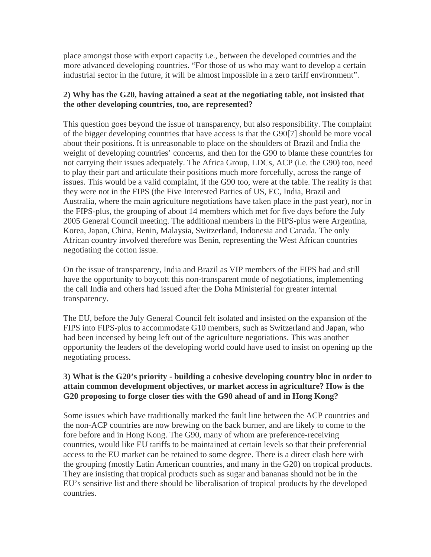place amongst those with export capacity i.e., between the developed countries and the more advanced developing countries. "For those of us who may want to develop a certain industrial sector in the future, it will be almost impossible in a zero tariff environment".

## **2) Why has the G20, having attained a seat at the negotiating table, not insisted that the other developing countries, too, are represented?**

This question goes beyond the issue of transparency, but also responsibility. The complaint of the bigger developing countries that have access is that the G90[7] should be more vocal about their positions. It is unreasonable to place on the shoulders of Brazil and India the weight of developing countries' concerns, and then for the G90 to blame these countries for not carrying their issues adequately. The Africa Group, LDCs, ACP (i.e. the G90) too, need to play their part and articulate their positions much more forcefully, across the range of issues. This would be a valid complaint, if the G90 too, were at the table. The reality is that they were not in the FIPS (the Five Interested Parties of US, EC, India, Brazil and Australia, where the main agriculture negotiations have taken place in the past year), nor in the FIPS-plus, the grouping of about 14 members which met for five days before the July 2005 General Council meeting. The additional members in the FIPS-plus were Argentina, Korea, Japan, China, Benin, Malaysia, Switzerland, Indonesia and Canada. The only African country involved therefore was Benin, representing the West African countries negotiating the cotton issue.

On the issue of transparency, India and Brazil as VIP members of the FIPS had and still have the opportunity to boycott this non-transparent mode of negotiations, implementing the call India and others had issued after the Doha Ministerial for greater internal transparency.

The EU, before the July General Council felt isolated and insisted on the expansion of the FIPS into FIPS-plus to accommodate G10 members, such as Switzerland and Japan, who had been incensed by being left out of the agriculture negotiations. This was another opportunity the leaders of the developing world could have used to insist on opening up the negotiating process.

## **3) What is the G20's priority - building a cohesive developing country bloc in order to attain common development objectives, or market access in agriculture? How is the G20 proposing to forge closer ties with the G90 ahead of and in Hong Kong?**

Some issues which have traditionally marked the fault line between the ACP countries and the non-ACP countries are now brewing on the back burner, and are likely to come to the fore before and in Hong Kong. The G90, many of whom are preference-receiving countries, would like EU tariffs to be maintained at certain levels so that their preferential access to the EU market can be retained to some degree. There is a direct clash here with the grouping (mostly Latin American countries, and many in the G20) on tropical products. They are insisting that tropical products such as sugar and bananas should not be in the EU's sensitive list and there should be liberalisation of tropical products by the developed countries.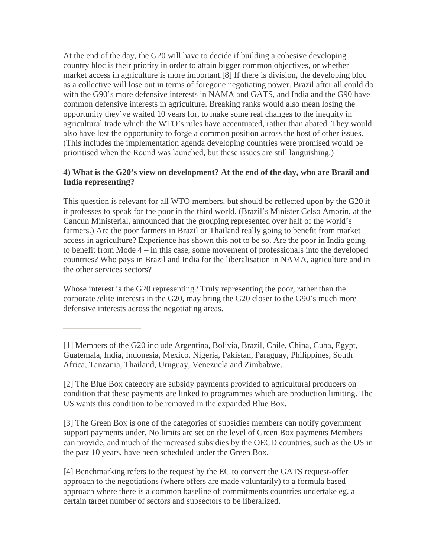At the end of the day, the G20 will have to decide if building a cohesive developing country bloc is their priority in order to attain bigger common objectives, or whether market access in agriculture is more important.[8] If there is division, the developing bloc as a collective will lose out in terms of foregone negotiating power. Brazil after all could do with the G90's more defensive interests in NAMA and GATS, and India and the G90 have common defensive interests in agriculture. Breaking ranks would also mean losing the opportunity they've waited 10 years for, to make some real changes to the inequity in agricultural trade which the WTO's rules have accentuated, rather than abated. They would also have lost the opportunity to forge a common position across the host of other issues. (This includes the implementation agenda developing countries were promised would be prioritised when the Round was launched, but these issues are still languishing.)

## **4) What is the G20's view on development? At the end of the day, who are Brazil and India representing?**

This question is relevant for all WTO members, but should be reflected upon by the G20 if it professes to speak for the poor in the third world. (Brazil's Minister Celso Amorin, at the Cancun Ministerial, announced that the grouping represented over half of the world's farmers.) Are the poor farmers in Brazil or Thailand really going to benefit from market access in agriculture? Experience has shown this not to be so. Are the poor in India going to benefit from Mode 4 – in this case, some movement of professionals into the developed countries? Who pays in Brazil and India for the liberalisation in NAMA, agriculture and in the other services sectors?

Whose interest is the G20 representing? Truly representing the poor, rather than the corporate /elite interests in the G20, may bring the G20 closer to the G90's much more defensive interests across the negotiating areas.

[1] Members of the G20 include Argentina, Bolivia, Brazil, Chile, China, Cuba, Egypt, Guatemala, India, Indonesia, Mexico, Nigeria, Pakistan, Paraguay, Philippines, South Africa, Tanzania, Thailand, Uruguay, Venezuela and Zimbabwe.

[2] The Blue Box category are subsidy payments provided to agricultural producers on condition that these payments are linked to programmes which are production limiting. The US wants this condition to be removed in the expanded Blue Box.

[3] The Green Box is one of the categories of subsidies members can notify government support payments under. No limits are set on the level of Green Box payments Members can provide, and much of the increased subsidies by the OECD countries, such as the US in the past 10 years, have been scheduled under the Green Box.

[4] Benchmarking refers to the request by the EC to convert the GATS request-offer approach to the negotiations (where offers are made voluntarily) to a formula based approach where there is a common baseline of commitments countries undertake eg. a certain target number of sectors and subsectors to be liberalized.